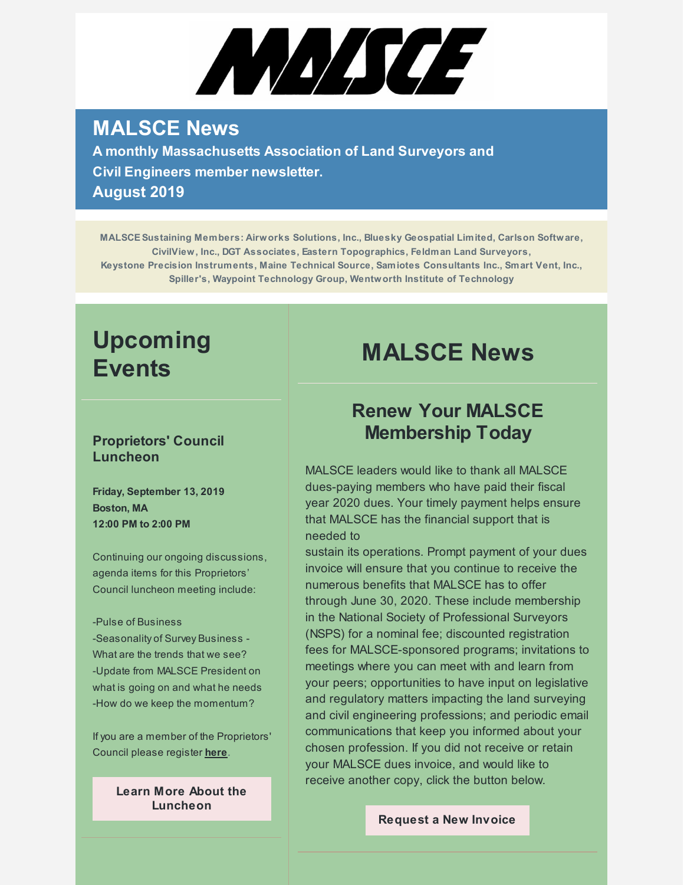# MMICE

## **MALSCE News**

**A monthly Massachusetts Association of Land Surveyors and Civil Engineers member newsletter. August 2019**

**MALSCESustaining Members: Airworks Solutions, Inc., Bluesky Geospatial Limited, Carlson Software, CivilView, Inc., DGT Associates, Eastern Topographics, Feldman Land Surveyors, Keystone Precision Instruments, Maine Technical Source, Samiotes Consultants Inc., Smart Vent, Inc., Spiller's, Waypoint Technology Group, Wentworth Institute of Technology**

# **Upcoming Events**

#### **Proprietors' Council Luncheon**

**Friday, September 13, 2019 Boston, MA 12:00 PM to 2:00 PM**

Continuing our ongoing discussions, agenda items for this Proprietors' Council luncheon meeting include:

#### -Pulse of Business

-Seasonality of Survey Business - What are the trends that we see? -Update from MALSCE President on what is going on and what he needs -How do we keep the momentum?

If you are a member of the Proprietors' Council please register **[here](https://www.surveymonkey.com/r/JQKZTY3)**.

> **Learn More About the [Luncheon](https://www.malsce.org/events/malsce-proprietors-council-luncheon-2613)**

# **MALSCE News**

## **Renew Your MALSCE Membership Today**

MALSCE leaders would like to thank all MALSCE dues-paying members who have paid their fiscal year 2020 dues. Your timely payment helps ensure that MALSCE has the financial support that is needed to

sustain its operations. Prompt payment of your dues invoice will ensure that you continue to receive the numerous benefits that MALSCE has to offer through June 30, 2020. These include membership in the National Society of Professional Surveyors (NSPS) for a nominal fee; discounted registration fees for MALSCE-sponsored programs; invitations to meetings where you can meet with and learn from your peers; opportunities to have input on legislative and regulatory matters impacting the land surveying and civil engineering professions; and periodic email communications that keep you informed about your chosen profession. If you did not receive or retain your MALSCE dues invoice, and would like to receive another copy, click the button below.

#### **[Request](mailto:malsce@engineers.org) a New Invoice**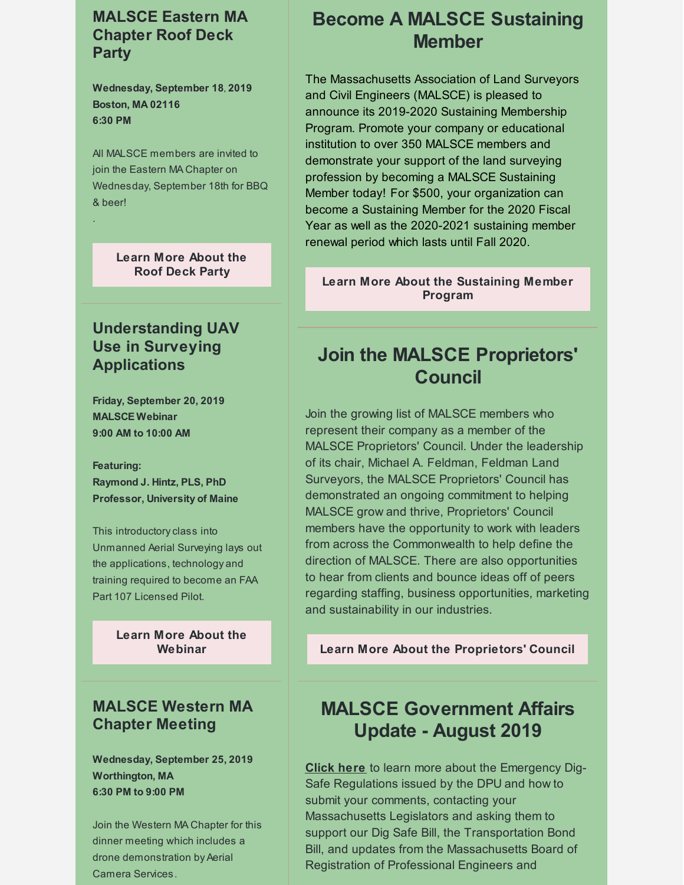#### **MALSCE Eastern MA Chapter Roof Deck Party**

**Wednesday, September 18, 2019 Boston, MA 02116 6:30 PM**

All MALSCE members are invited to join the Eastern MA Chapter on Wednesday, September 18th for BBQ & beer!

.

#### **Learn More [About](https://www.malsce.org/events/malsce-eastern-ma-chapter-roof-deck-party-2642) the Roof Deck Party**

## **Understanding UAV Use in Surveying Applications**

**Friday, September 20, 2019 MALSCE Webinar 9:00 AM to 10:00 AM**

**Featuring: Raymond J. Hintz, PLS, PhD Professor, University of Maine**

This introductoryclass into Unmanned Aerial Surveying lays out the applications, technology and training required to become an FAA Part 107 Licensed Pilot.

> **Learn More About the [Webinar](https://www.malsce.org/events/malsce-webinar-understanding-uav-use-in-surveying-applications-2640)**

## **MALSCE Western MA Chapter Meeting**

**Wednesday, September 25, 2019 Worthington, MA 6:30 PM to 9:00 PM**

Join the Western MA Chapter for this dinner meeting which includes a drone demonstration by Aerial Camera Services.

## **Become A MALSCE Sustaining Member**

The Massachusetts Association of Land Surveyors and Civil Engineers (MALSCE) is pleased to announce its 2019-2020 Sustaining Membership Program. Promote your company or educational institution to over 350 MALSCE members and demonstrate your support of the land surveying profession by becoming a MALSCE Sustaining Member today! For \$500, your organization can become a Sustaining Member for the 2020 Fiscal Year as well as the 2020-2021 sustaining member renewal period which lasts until Fall 2020.

#### **Learn More About the [Sustaining](http://files.engineers.org/file/2019-2020-Sustaining-Membership-Program-Announcement-1182.pdf) Member Program**

## **Join the MALSCE Proprietors' Council**

Join the growing list of MALSCE members who represent their company as a member of the MALSCE Proprietors' Council. Under the leadership of its chair, Michael A. Feldman, Feldman Land Surveyors, the MALSCE Proprietors' Council has demonstrated an ongoing commitment to helping MALSCE grow and thrive, Proprietors' Council members have the opportunity to work with leaders from across the Commonwealth to help define the direction of MALSCE. There are also opportunities to hear from clients and bounce ideas off of peers regarding staffing, business opportunities, marketing and sustainability in our industries.

**Learn More About the [Proprietors'](http://files.engineers.org/file/FY2020-Proprietors-Council-Program-Registration-Form.pdf) Council**

## **MALSCE Government Affairs Update - August 2019**

**[Click](https://www.malsce.org/news-publications/news/malsce-government-affairs-update-august-2019-2637) here** to learn more about the Emergency Dig-Safe Regulations issued by the DPU and how to submit your comments, contacting your Massachusetts Legislators and asking them to support our Dig Safe Bill, the Transportation Bond Bill, and updates from the Massachusetts Board of Registration of Professional Engineers and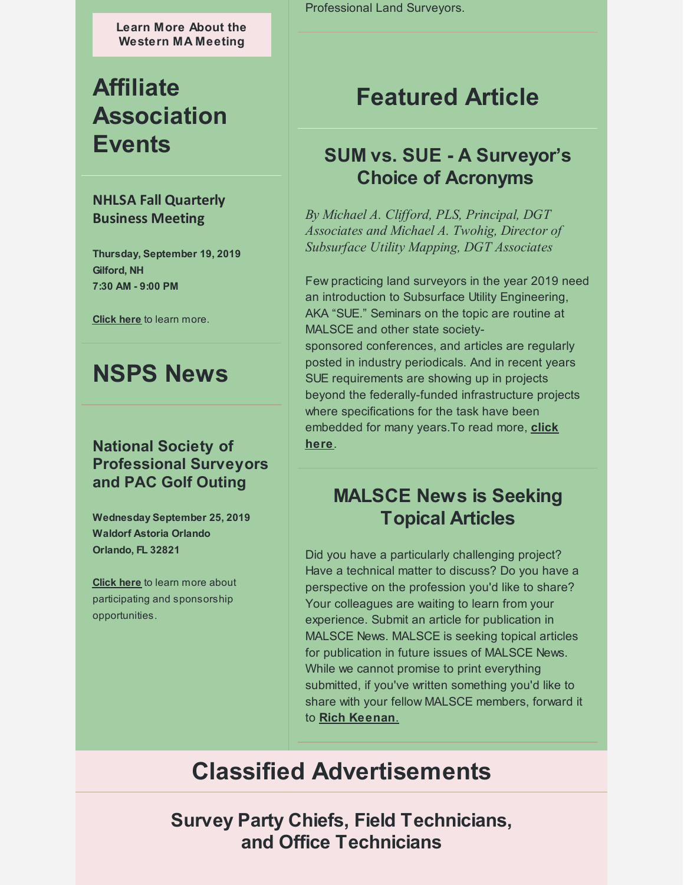**Learn More About the [Western](https://www.malsce.org/events/malsce-western-ma-chapter-meeting-2641) MA Meeting**

# **Affiliate Association Events**

#### **NHLSA Fall Quarterly Business Meeting**

**Thursday, September 19, 2019 Gilford, NH 7:30 AM - 9:00 PM**

**[Click](http://files.engineers.org/file/2019-Fall-Quarterly-Notice.pdf) here** to learn more.

## **NSPS News**

## **National Society of Professional Surveyors and PAC Golf Outing**

**Wednesday September 25, 2019 Waldorf Astoria Orlando Orlando, FL 32821**

**[Click](https://www.nsps.us.com/page/GolfOuting) here** to learn more about participating and sponsorship opportunities.

Professional Land Surveyors.

# **Featured Article**

## **SUM vs. SUE - A Surveyor's Choice of Acronyms**

*By Michael A. Clif ord, PLS, Principal, DGT Associates and Michael A. Twohig, Director of Subsurface Utility Mapping, DGT Associates*

Few practicing land surveyors in the year 2019 need an introduction to Subsurface Utility Engineering, AKA "SUE." Seminars on the topic are routine at MALSCE and other state societysponsored conferences, and articles are regularly posted in industry periodicals. And in recent years SUE requirements are showing up in projects beyond the federally-funded infrastructure projects where specifications for the task have been [embedded](https://www.malsce.org/news-publications/news/sum-vs-sue-a-surveyor-s-choice-of-acronyms-2638) for many years.To read more, **click here**.

## **MALSCE News is Seeking Topical Articles**

Did you have a particularly challenging project? Have a technical matter to discuss? Do you have a perspective on the profession you'd like to share? Your colleagues are waiting to learn from your experience. Submit an article for publication in MALSCE News. MALSCE is seeking topical articles for publication in future issues of MALSCE News. While we cannot promise to print everything submitted, if you've written something you'd like to share with your fellow MALSCE members, forward it to **Rich [Keenan](mailto:rkeenan@engineers.org)**.

# **Classified Advertisements**

**Survey Party Chiefs, Field Technicians, and Office Technicians**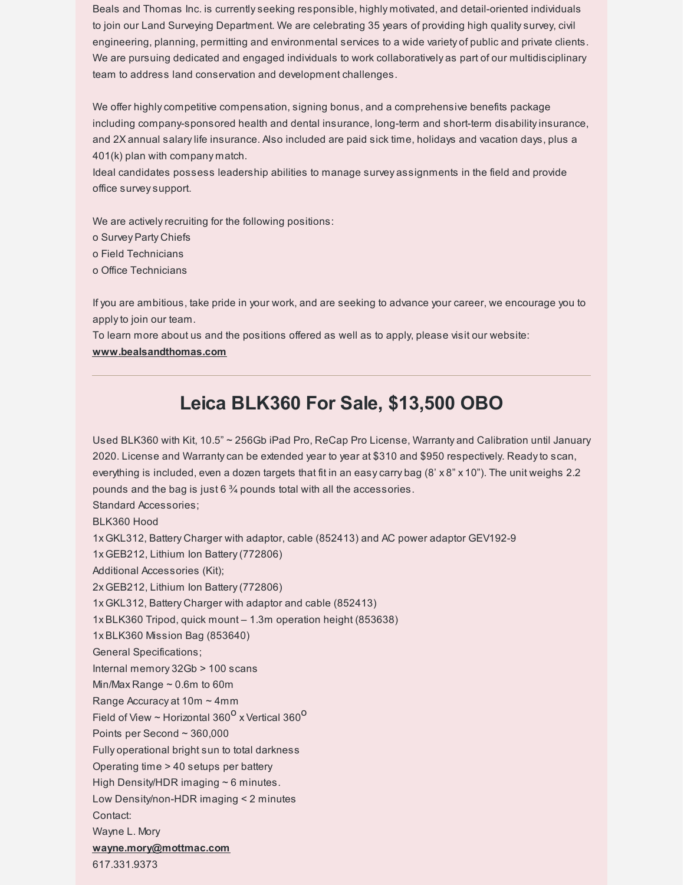Beals and Thomas Inc. is currentlyseeking responsible, highly motivated, and detail-oriented individuals to join our Land Surveying Department. We are celebrating 35 years of providing high qualitysurvey, civil engineering, planning, permitting and environmental services to a wide variety of public and private clients. We are pursuing dedicated and engaged individuals to work collaboratively as part of our multidisciplinary team to address land conservation and development challenges.

We offer highly competitive compensation, signing bonus, and a comprehensive benefits package including company-sponsored health and dental insurance, long-term and short-term disabilityinsurance, and 2X annual salarylife insurance. Also included are paid sick time, holidays and vacation days, plus a 401(k) plan with company match.

Ideal candidates possess leadership abilities to manage survey assignments in the field and provide office surveysupport.

We are actively recruiting for the following positions:

o Survey Party Chiefs

o Field Technicians

o Office Technicians

If you are ambitious, take pride in your work, and are seeking to advance your career, we encourage you to applyto join our team.

To learn more about us and the positions offered as well as to apply, please visit our website: **[www.bealsandthomas.com](http://www.bealsandthomas.com)**

## **Leica BLK360 For Sale, \$13,500 OBO**

Used BLK360 with Kit, 10.5" ~ 256Gb iPad Pro, ReCap Pro License, Warranty and Calibration until January 2020. License and Warrantycan be extended year to year at \$310 and \$950 respectively. Readyto scan, everything is included, even a dozen targets that fit in an easy carry bag (8' x 8" x 10"). The unit weighs 2.2 pounds and the bag is just 6 ¾ pounds total with all the accessories. Standard Accessories; BLK360 Hood 1x GKL312, Battery Charger with adaptor, cable (852413) and AC power adaptor GEV192-9 1x GEB212, Lithium Ion Battery(772806) Additional Accessories (Kit); 2x GEB212, Lithium Ion Battery(772806) 1x GKL312, Battery Charger with adaptor and cable (852413) 1x BLK360 Tripod, quick mount – 1.3m operation height (853638) 1x BLK360 Mission Bag (853640) General Specifications; Internal memory 32Gb > 100 scans Min/Max Range ~ 0.6m to 60m Range Accuracy at 10m ~ 4mm Field of View ~ Horizontal 360<sup>0</sup> x Vertical 360<sup>0</sup> Points per Second ~ 360,000 Fully operational bright sun to total darkness Operating time > 40 setups per battery High Density/HDR imaging  $\sim$  6 minutes. Low Density/non-HDR imaging < 2 minutes Contact: Wayne L. Mory **[wayne.mory@mottmac.com](mailto:wayne.mory@mottmac.com)** 617.331.9373